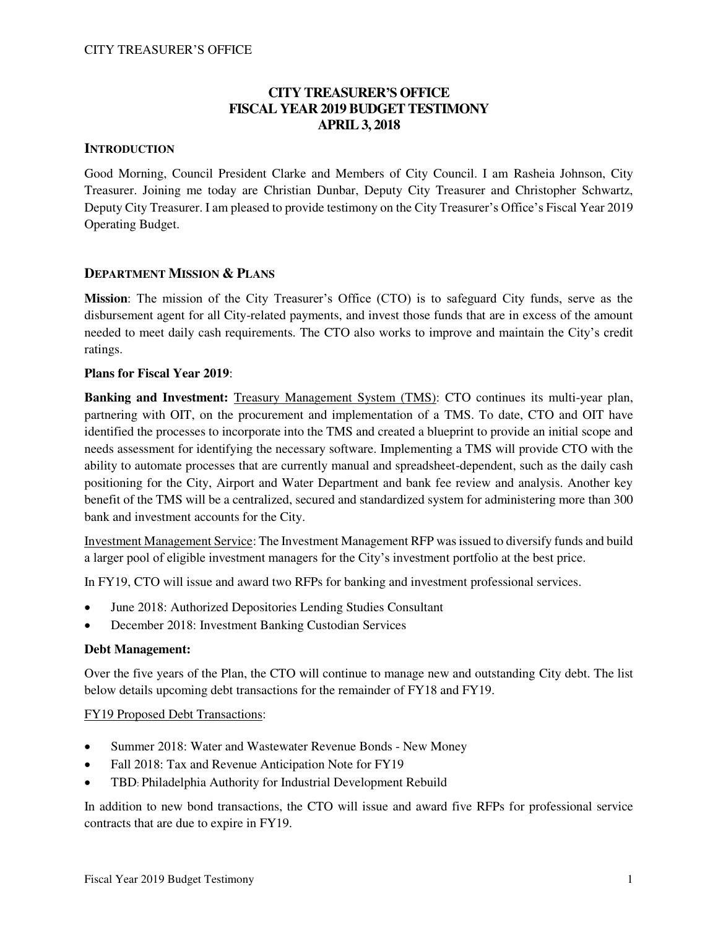## **CITY TREASURER'S OFFICE FISCAL YEAR 2019 BUDGET TESTIMONY APRIL 3, 2018**

## **INTRODUCTION**

Good Morning, Council President Clarke and Members of City Council. I am Rasheia Johnson, City Treasurer. Joining me today are Christian Dunbar, Deputy City Treasurer and Christopher Schwartz, Deputy City Treasurer. I am pleased to provide testimony on the City Treasurer's Office's Fiscal Year 2019 Operating Budget.

## **DEPARTMENT MISSION & PLANS**

**Mission**: The mission of the City Treasurer's Office (CTO) is to safeguard City funds, serve as the disbursement agent for all City-related payments, and invest those funds that are in excess of the amount needed to meet daily cash requirements. The CTO also works to improve and maintain the City's credit ratings.

## **Plans for Fiscal Year 2019**:

**Banking and Investment:** Treasury Management System (TMS): CTO continues its multi-year plan, partnering with OIT, on the procurement and implementation of a TMS. To date, CTO and OIT have identified the processes to incorporate into the TMS and created a blueprint to provide an initial scope and needs assessment for identifying the necessary software. Implementing a TMS will provide CTO with the ability to automate processes that are currently manual and spreadsheet-dependent, such as the daily cash positioning for the City, Airport and Water Department and bank fee review and analysis. Another key benefit of the TMS will be a centralized, secured and standardized system for administering more than 300 bank and investment accounts for the City.

Investment Management Service: The Investment Management RFP was issued to diversify funds and build a larger pool of eligible investment managers for the City's investment portfolio at the best price.

In FY19, CTO will issue and award two RFPs for banking and investment professional services.

- June 2018: Authorized Depositories Lending Studies Consultant
- December 2018: Investment Banking Custodian Services

### **Debt Management:**

Over the five years of the Plan, the CTO will continue to manage new and outstanding City debt. The list below details upcoming debt transactions for the remainder of FY18 and FY19.

### FY19 Proposed Debt Transactions:

- Summer 2018: Water and Wastewater Revenue Bonds New Money
- Fall 2018: Tax and Revenue Anticipation Note for FY19
- TBD: Philadelphia Authority for Industrial Development Rebuild

In addition to new bond transactions, the CTO will issue and award five RFPs for professional service contracts that are due to expire in FY19.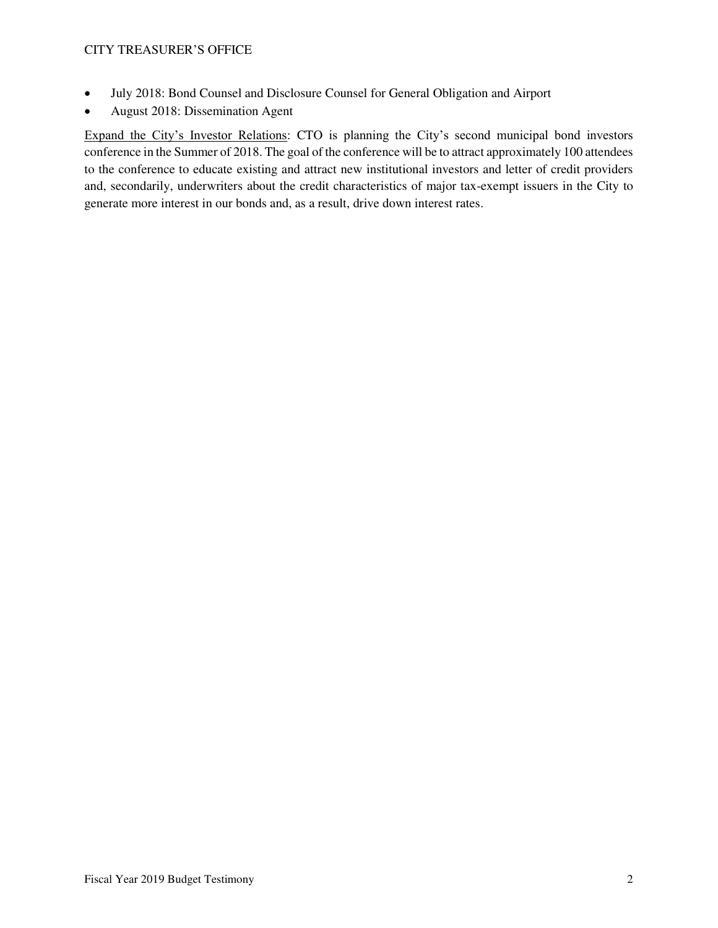- July 2018: Bond Counsel and Disclosure Counsel for General Obligation and Airport
- August 2018: Dissemination Agent

Expand the City's Investor Relations: CTO is planning the City's second municipal bond investors conference in the Summer of 2018. The goal of the conference will be to attract approximately 100 attendees to the conference to educate existing and attract new institutional investors and letter of credit providers and, secondarily, underwriters about the credit characteristics of major tax-exempt issuers in the City to generate more interest in our bonds and, as a result, drive down interest rates.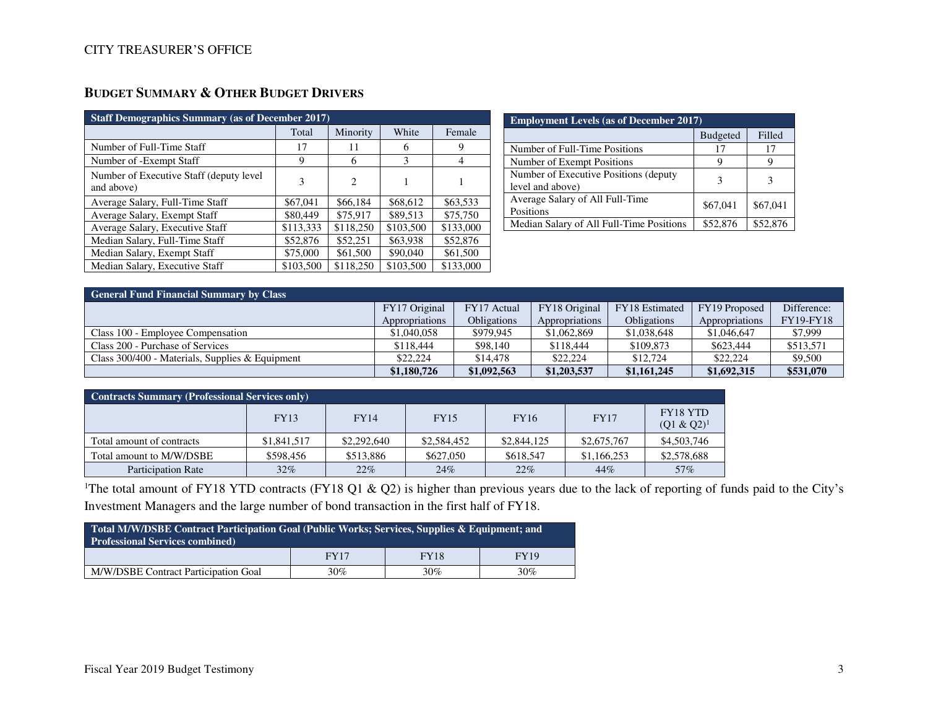| <b>Staff Demographics Summary (as of December 2017)</b> |           |           |           |           |  |  |  |  |  |
|---------------------------------------------------------|-----------|-----------|-----------|-----------|--|--|--|--|--|
|                                                         | Total     | Minority  | White     | Female    |  |  |  |  |  |
| Number of Full-Time Staff                               | 17        | 11        | 6         | 9         |  |  |  |  |  |
| Number of -Exempt Staff                                 | 9         | 6         | 3         | 4         |  |  |  |  |  |
| Number of Executive Staff (deputy level)<br>and above)  | 3         | 2         |           |           |  |  |  |  |  |
| Average Salary, Full-Time Staff                         | \$67,041  | \$66,184  | \$68,612  | \$63,533  |  |  |  |  |  |
| Average Salary, Exempt Staff                            | \$80,449  | \$75,917  | \$89.513  | \$75,750  |  |  |  |  |  |
| Average Salary, Executive Staff                         | \$113,333 | \$118,250 | \$103,500 | \$133,000 |  |  |  |  |  |
| Median Salary, Full-Time Staff                          | \$52,876  | \$52,251  | \$63,938  | \$52,876  |  |  |  |  |  |
| Median Salary, Exempt Staff                             | \$75,000  | \$61,500  | \$90,040  | \$61,500  |  |  |  |  |  |
| Median Salary, Executive Staff                          | \$103,500 | \$118,250 | \$103,500 | \$133,000 |  |  |  |  |  |

| <b>Employment Levels (as of December 2017)</b>             |                 |          |  |  |  |  |  |
|------------------------------------------------------------|-----------------|----------|--|--|--|--|--|
|                                                            | <b>Budgeted</b> | Filled   |  |  |  |  |  |
| Number of Full-Time Positions                              | 17              | 17       |  |  |  |  |  |
| Number of Exempt Positions                                 | y               |          |  |  |  |  |  |
| Number of Executive Positions (deputy)<br>level and above) |                 |          |  |  |  |  |  |
| Average Salary of All Full-Time<br>Positions               | \$67,041        | \$67,041 |  |  |  |  |  |
| Median Salary of All Full-Time Positions                   | \$52,876        | \$52,876 |  |  |  |  |  |

| <b>General Fund Financial Summary by Class</b>    |                |                    |                |                |                |                  |  |  |  |  |
|---------------------------------------------------|----------------|--------------------|----------------|----------------|----------------|------------------|--|--|--|--|
|                                                   | FY17 Original  | FY17 Actual        | FY18 Original  | FY18 Estimated | FY19 Proposed  | Difference:      |  |  |  |  |
|                                                   | Appropriations | <b>Obligations</b> | Appropriations | Obligations    | Appropriations | <b>FY19-FY18</b> |  |  |  |  |
| Class 100 - Employee Compensation                 | \$1,040,058    | \$979,945          | \$1,062,869    | \$1,038,648    | \$1,046,647    | \$7,999          |  |  |  |  |
| Class 200 - Purchase of Services                  | \$118,444      | \$98,140           | \$118,444      | \$109,873      | \$623,444      | \$513,571        |  |  |  |  |
| Class $300/400$ - Materials, Supplies & Equipment | \$22,224       | \$14,478           | \$22,224       | \$12,724       | \$22,224       | \$9,500          |  |  |  |  |
|                                                   | \$1,180,726    | \$1,092,563        | \$1,203,537    | \$1,161,245    | \$1,692,315    | \$531,070        |  |  |  |  |

| <b>Contracts Summary (Professional Services only)</b> |             |             |             |             |             |                           |  |  |  |  |
|-------------------------------------------------------|-------------|-------------|-------------|-------------|-------------|---------------------------|--|--|--|--|
|                                                       | <b>FY13</b> | <b>FY14</b> | <b>FY15</b> | <b>FY16</b> | <b>FY17</b> | FY18 YTD<br>$(Q1 & Q2)^1$ |  |  |  |  |
| Total amount of contracts                             | \$1,841,517 | \$2,292,640 | \$2,584,452 | \$2,844,125 | \$2,675,767 | \$4,503,746               |  |  |  |  |
| Total amount to M/W/DSBE                              | \$598,456   | \$513,886   | \$627,050   | \$618,547   | \$1,166,253 | \$2,578,688               |  |  |  |  |
| <b>Participation Rate</b>                             | $32\%$      | 22%         | 24%         | 22%         | 44%         | 57%                       |  |  |  |  |

<sup>1</sup>The total amount of FY18 YTD contracts (FY18 Q1 & Q2) is higher than previous years due to the lack of reporting of funds paid to the City's Investment Managers and the large number of bond transaction in the first half of FY18.

| <b>Total M/W/DSBE Contract Participation Goal (Public Works; Services, Supplies &amp; Equipment; and </b><br><b>Professional Services combined)</b> |             |             |             |  |  |  |  |  |
|-----------------------------------------------------------------------------------------------------------------------------------------------------|-------------|-------------|-------------|--|--|--|--|--|
|                                                                                                                                                     | <b>FY17</b> | <b>FY18</b> | <b>FY19</b> |  |  |  |  |  |
| 30%<br>30%<br>M/W/DSBE Contract Participation Goal<br>$30\%$                                                                                        |             |             |             |  |  |  |  |  |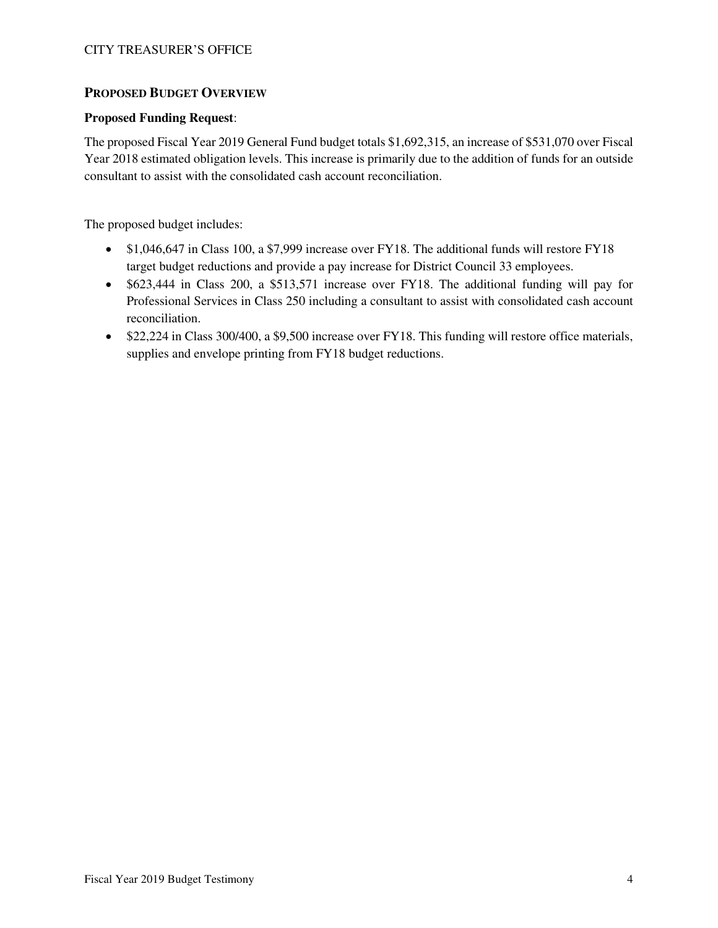## **PROPOSED BUDGET OVERVIEW**

## **Proposed Funding Request**:

The proposed Fiscal Year 2019 General Fund budget totals \$1,692,315, an increase of \$531,070 over Fiscal Year 2018 estimated obligation levels. This increase is primarily due to the addition of funds for an outside consultant to assist with the consolidated cash account reconciliation.

The proposed budget includes:

- \$1,046,647 in Class 100, a \$7,999 increase over FY18. The additional funds will restore FY18 target budget reductions and provide a pay increase for District Council 33 employees.
- \$623,444 in Class 200, a \$513,571 increase over FY18. The additional funding will pay for Professional Services in Class 250 including a consultant to assist with consolidated cash account reconciliation.
- \$22,224 in Class 300/400, a \$9,500 increase over FY18. This funding will restore office materials, supplies and envelope printing from FY18 budget reductions.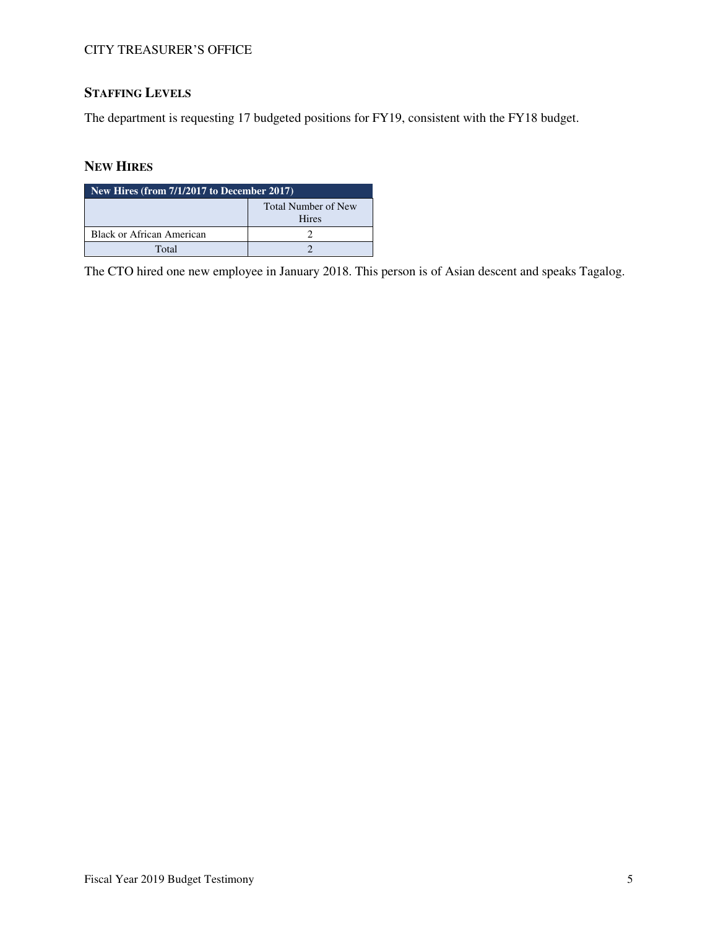# **STAFFING LEVELS**

The department is requesting 17 budgeted positions for FY19, consistent with the FY18 budget.

## **NEW HIRES**

| New Hires (from $7/1/2017$ to December 2017) |                                     |  |  |  |  |
|----------------------------------------------|-------------------------------------|--|--|--|--|
|                                              | Total Number of New<br><b>Hires</b> |  |  |  |  |
| Black or African American                    |                                     |  |  |  |  |
| Total                                        |                                     |  |  |  |  |

The CTO hired one new employee in January 2018. This person is of Asian descent and speaks Tagalog.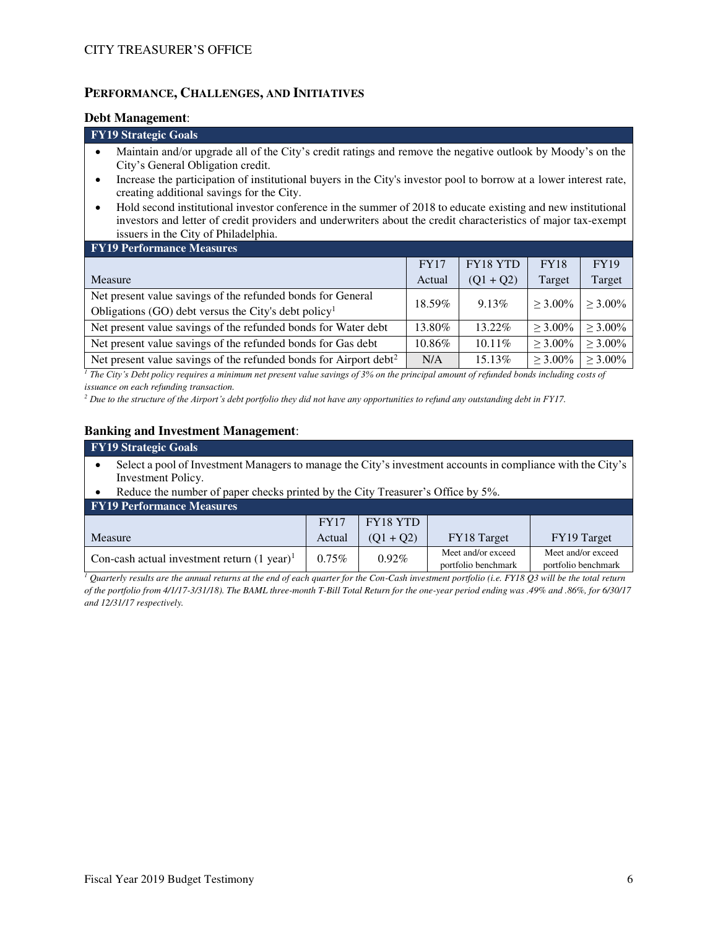## **PERFORMANCE, CHALLENGES, AND INITIATIVES**

#### **Debt Management**:

#### **FY19 Strategic Goals**

- Maintain and/or upgrade all of the City's credit ratings and remove the negative outlook by Moody's on the City's General Obligation credit.
- Increase the participation of institutional buyers in the City's investor pool to borrow at a lower interest rate, creating additional savings for the City.
- Hold second institutional investor conference in the summer of 2018 to educate existing and new institutional investors and letter of credit providers and underwriters about the credit characteristics of major tax-exempt issuers in the City of Philadelphia.

| <b>FY19 Performance Measures</b>                                              |             |                 |             |               |
|-------------------------------------------------------------------------------|-------------|-----------------|-------------|---------------|
|                                                                               | <b>FY17</b> | <b>FY18 YTD</b> | <b>FY18</b> | <b>FY19</b>   |
| <b>Measure</b>                                                                | Actual      | $(Q1 + Q2)$     | Target      | Target        |
| Net present value savings of the refunded bonds for General                   | 18.59%      | 9.13%           | $> 3.00\%$  | $\geq 3.00\%$ |
| Obligations (GO) debt versus the City's debt policy <sup>1</sup>              |             |                 |             |               |
| Net present value savings of the refunded bonds for Water debt                | 13.80%      | $13.22\%$       | $>$ 3.00%   | $> 3.00\%$    |
| Net present value savings of the refunded bonds for Gas debt                  | 10.86%      | $10.11\%$       | $> 3.00\%$  | $\geq 3.00\%$ |
| Net present value savings of the refunded bonds for Airport debt <sup>2</sup> | N/A         | 15.13%          | $> 3.00\%$  | $\geq 3.00\%$ |

*<sup>1</sup> The City's Debt policy requires a minimum net present value savings of 3% on the principal amount of refunded bonds including costs of issuance on each refunding transaction.* 

*<sup>2</sup> Due to the structure of the Airport's debt portfolio they did not have any opportunities to refund any outstanding debt in FY17.* 

#### **Banking and Investment Management**:

| <b>FY19 Strategic Goals</b>                                                                                 |             |                 |                    |                                         |  |  |  |  |
|-------------------------------------------------------------------------------------------------------------|-------------|-----------------|--------------------|-----------------------------------------|--|--|--|--|
| Select a pool of Investment Managers to manage the City's investment accounts in compliance with the City's |             |                 |                    |                                         |  |  |  |  |
| Investment Policy.                                                                                          |             |                 |                    |                                         |  |  |  |  |
| Reduce the number of paper checks printed by the City Treasurer's Office by 5%.                             |             |                 |                    |                                         |  |  |  |  |
| <b>FY19 Performance Measures</b>                                                                            |             |                 |                    |                                         |  |  |  |  |
|                                                                                                             | <b>FY17</b> | <b>FY18 YTD</b> |                    |                                         |  |  |  |  |
| FY18 Target<br>FY19 Target<br>$(Q1 + Q2)$<br>Measure<br>Actual                                              |             |                 |                    |                                         |  |  |  |  |
| Con-cash actual investment return $(1 \text{ year})^1$                                                      | $0.75\%$    | 0.92%           | Meet and/or exceed | Meet and/or exceed<br>$(1, 0, 1)$ 1 1 1 |  |  |  |  |

*1 Quarterly results are the annual returns at the end of each quarter for the Con-Cash investment portfolio (i.e. FY18 Q3 will be the total return of the portfolio from 4/1/17-3/31/18). The BAML three-month T-Bill Total Return for the one-year period ending was .49% and .86%, for 6/30/17 and 12/31/17 respectively.*

portfolio benchmark

portfolio benchmark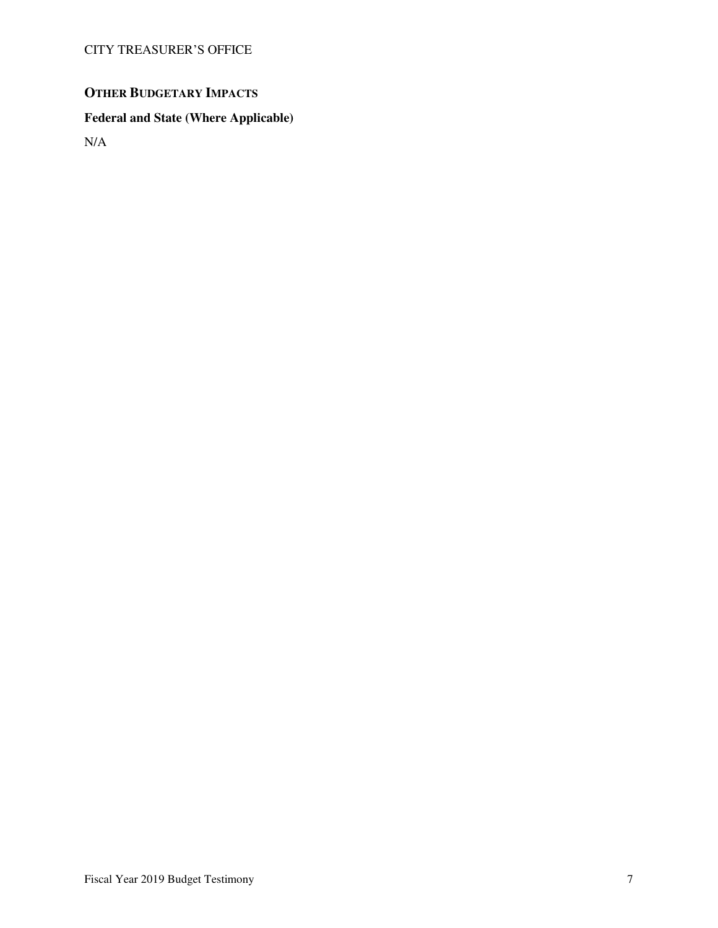# **OTHER BUDGETARY IMPACTS**

## **Federal and State (Where Applicable)**

N/A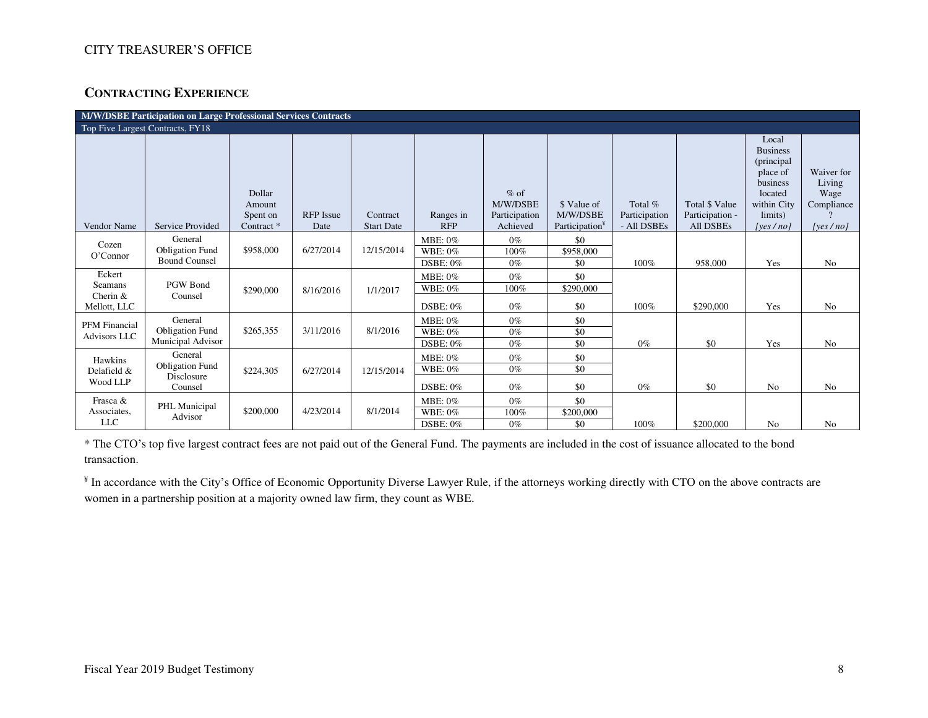## **CONTRACTING EXPERIENCE**

| M/W/DSBE Participation on Large Professional Services Contracts |                                                                   |                                                       |                          |                               |                                          |                                                 |                                                       |                                         |                                                       |                                                                                                                     |                                                          |
|-----------------------------------------------------------------|-------------------------------------------------------------------|-------------------------------------------------------|--------------------------|-------------------------------|------------------------------------------|-------------------------------------------------|-------------------------------------------------------|-----------------------------------------|-------------------------------------------------------|---------------------------------------------------------------------------------------------------------------------|----------------------------------------------------------|
|                                                                 | Top Five Largest Contracts, FY18                                  |                                                       |                          |                               |                                          |                                                 |                                                       |                                         |                                                       |                                                                                                                     |                                                          |
| Vendor Name                                                     | <b>Service Provided</b>                                           | Dollar<br>Amount<br>Spent on<br>Contract <sup>*</sup> | <b>RFP</b> Issue<br>Date | Contract<br><b>Start Date</b> | Ranges in<br><b>RFP</b>                  | $%$ of<br>M/W/DSBE<br>Participation<br>Achieved | \$ Value of<br>M/W/DSBE<br>Participation <sup>¥</sup> | Total %<br>Participation<br>- All DSBEs | Total \$ Value<br>Participation -<br><b>All DSBEs</b> | Local<br><b>Business</b><br>(principal<br>place of<br>business<br>located<br>within City<br>limits)<br>[yes $/no$ ] | Waiver for<br>Living<br>Wage<br>Compliance<br>[yes / no] |
| Cozen<br>O'Connor                                               | General<br><b>Obligation Fund</b><br><b>Bound Counsel</b>         | \$958,000                                             | 6/27/2014                | 12/15/2014                    | MBE: 0%<br>WBE: 0%<br>$DSBE: 0\%$        | $0\%$<br>100%<br>$0\%$                          | \$0<br>\$958,000<br>\$0                               | 100%                                    | 958,000                                               | Yes                                                                                                                 | N <sub>o</sub>                                           |
| Eckert<br>Seamans<br>Cherin $&$<br>Mellott, LLC                 | PGW Bond<br>Counsel                                               | \$290,000                                             | 8/16/2016                | 1/1/2017                      | MBE: 0%<br>WBE: 0%<br>DSBE: 0%           | $0\%$<br>100%<br>$0\%$                          | \$0<br>\$290,000<br>\$0                               | 100%                                    | \$290,000                                             | Yes                                                                                                                 | N <sub>o</sub>                                           |
| <b>PFM</b> Financial<br><b>Advisors LLC</b>                     | General<br><b>Obligation Fund</b><br>Municipal Advisor            | \$265,355                                             | 3/11/2016                | 8/1/2016                      | MBE: 0%<br>WBE: 0%<br>$DSBE: 0\%$        | $0\%$<br>$0\%$<br>$0\%$                         | \$0<br>\$0<br>\$0                                     | $0\%$                                   | \$0                                                   | Yes                                                                                                                 | N <sub>o</sub>                                           |
| Hawkins<br>Delafield &<br>Wood LLP                              | General<br><b>Obligation Fund</b><br><b>Disclosure</b><br>Counsel | \$224,305                                             | 6/27/2014                | 12/15/2014                    | MBE: $0\%$<br>WBE: 0%<br><b>DSBE: 0%</b> | $0\%$<br>$0\%$<br>$0\%$                         | \$0<br>\$0<br>\$0                                     | $0\%$                                   | \$0                                                   | No                                                                                                                  | N <sub>o</sub>                                           |
| Frasca &<br>Associates,<br><b>LLC</b>                           | PHL Municipal<br>Advisor                                          | \$200,000                                             | 4/23/2014                | 8/1/2014                      | MBE: $0\%$<br>WBE: $0\%$<br>$DSBE: 0\%$  | $0\%$<br>100%<br>$0\%$                          | \$0<br>$\overline{$200,000}$<br>\$0                   | 100%                                    | \$200,000                                             | N <sub>0</sub>                                                                                                      | N <sub>o</sub>                                           |

\* The CTO's top five largest contract fees are not paid out of the General Fund. The payments are included in the cost of issuance allocated to the bond transaction.

¥ In accordance with the City's Office of Economic Opportunity Diverse Lawyer Rule, if the attorneys working directly with CTO on the above contracts are women in a partnership position at a majority owned law firm, they count as WBE.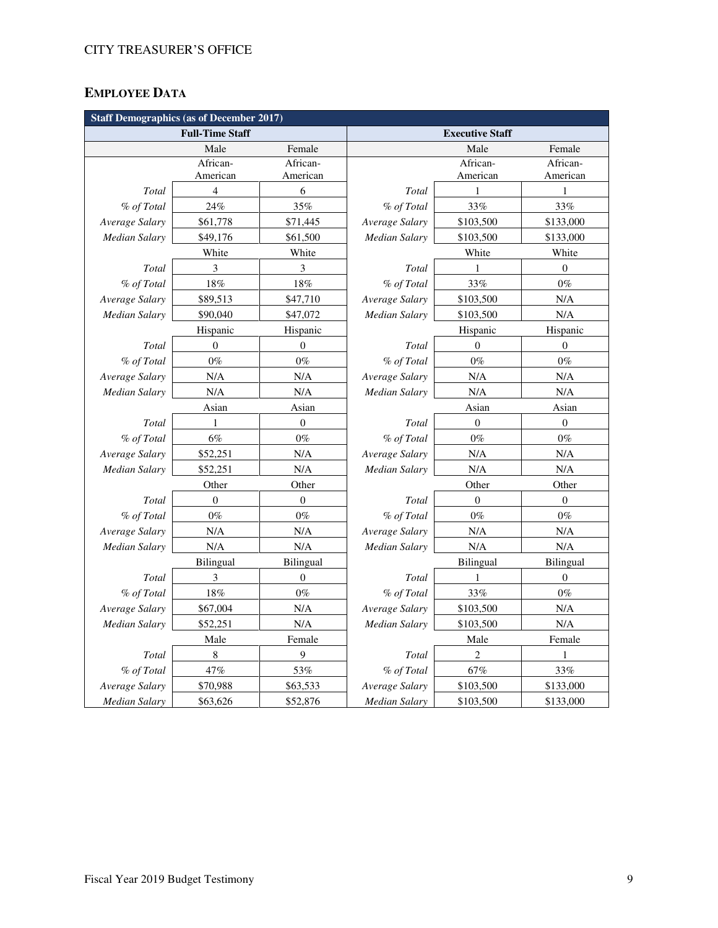# **EMPLOYEE DATA**

| <b>Staff Demographics (as of December 2017)</b> |                        |                  |                      |                        |                  |  |  |  |
|-------------------------------------------------|------------------------|------------------|----------------------|------------------------|------------------|--|--|--|
|                                                 | <b>Full-Time Staff</b> |                  |                      | <b>Executive Staff</b> |                  |  |  |  |
|                                                 | Male                   | Female           |                      | Male                   | Female           |  |  |  |
|                                                 | African-               | African-         |                      | African-               | African-         |  |  |  |
|                                                 | American               | American         |                      | American               | American         |  |  |  |
| Total                                           | $\overline{4}$         | 6                | <b>Total</b>         | 1                      | 1                |  |  |  |
| % of Total                                      | 24%                    | 35%              | % of Total           | 33%                    | 33%              |  |  |  |
| Average Salary                                  | \$61,778               | \$71,445         | Average Salary       | \$103,500              | \$133,000        |  |  |  |
| Median Salary                                   | \$49,176               | \$61,500         | Median Salary        | \$103,500              | \$133,000        |  |  |  |
|                                                 | White                  | White            |                      | White                  | White            |  |  |  |
| Total                                           | 3                      | 3                | Total                | 1                      | $\boldsymbol{0}$ |  |  |  |
| % of Total                                      | $18\%$                 | $18\%$           | % of Total           | 33%                    | $0\%$            |  |  |  |
| Average Salary                                  | \$89,513               | \$47,710         | Average Salary       | \$103,500              | N/A              |  |  |  |
| Median Salary                                   | \$90,040               | \$47,072         | Median Salary        | \$103,500              | N/A              |  |  |  |
|                                                 | Hispanic               | Hispanic         |                      | Hispanic               | Hispanic         |  |  |  |
| Total                                           | $\theta$               | $\boldsymbol{0}$ | Total                | $\overline{0}$         | $\overline{0}$   |  |  |  |
| % of Total                                      | $0\%$                  | $0\%$            | % of Total           | $0\%$                  | $0\%$            |  |  |  |
| Average Salary                                  | N/A                    | N/A              | Average Salary       | N/A                    | N/A              |  |  |  |
| <b>Median Salary</b>                            | N/A                    | N/A              | Median Salary        | N/A                    | $\rm N/A$        |  |  |  |
|                                                 | Asian                  | Asian            |                      | Asian                  | Asian            |  |  |  |
| Total                                           | 1                      | $\boldsymbol{0}$ | Total                | $\boldsymbol{0}$       | $\overline{0}$   |  |  |  |
| % of Total                                      | $6\%$                  | $0\%$            | % of Total           | $0\%$                  | $0\%$            |  |  |  |
| Average Salary                                  | \$52,251               | N/A              | Average Salary       | N/A                    | N/A              |  |  |  |
| Median Salary                                   | \$52,251               | N/A              | Median Salary        | N/A                    | N/A              |  |  |  |
|                                                 | Other                  | Other            |                      | Other                  | Other            |  |  |  |
| Total                                           | $\overline{0}$         | $\boldsymbol{0}$ | <b>Total</b>         | $\overline{0}$         | $\overline{0}$   |  |  |  |
| % of Total                                      | $0\%$                  | $0\%$            | % of Total           | $0\%$                  | $0\%$            |  |  |  |
| Average Salary                                  | N/A                    | N/A              | Average Salary       | N/A                    | N/A              |  |  |  |
| Median Salary                                   | N/A                    | N/A              | Median Salary        | N/A                    | N/A              |  |  |  |
|                                                 | Bilingual              | <b>Bilingual</b> |                      | <b>Bilingual</b>       | Bilingual        |  |  |  |
| Total                                           | 3                      | $\boldsymbol{0}$ | Total                | $\mathbf{1}$           | $\boldsymbol{0}$ |  |  |  |
| % of Total                                      | $18\%$                 | $0\%$            | % of Total           | 33%                    | $0\%$            |  |  |  |
| Average Salary                                  | \$67,004               | N/A              | Average Salary       | \$103,500              | N/A              |  |  |  |
| Median Salary                                   | \$52,251               | N/A              | <b>Median Salary</b> | \$103,500              | N/A              |  |  |  |
|                                                 | Male                   | Female           |                      | Male                   | Female           |  |  |  |
| Total                                           | $\,$ 8 $\,$            | 9                | Total                | $\sqrt{2}$             | 1                |  |  |  |
| % of Total                                      | 47%                    | 53%              | % of Total           | 67%                    | 33%              |  |  |  |
| Average Salary                                  | \$70,988               | \$63,533         | Average Salary       | \$103,500              | \$133,000        |  |  |  |
| <b>Median Salary</b>                            | \$63,626               | \$52,876         | <b>Median Salary</b> | \$103,500              | \$133,000        |  |  |  |